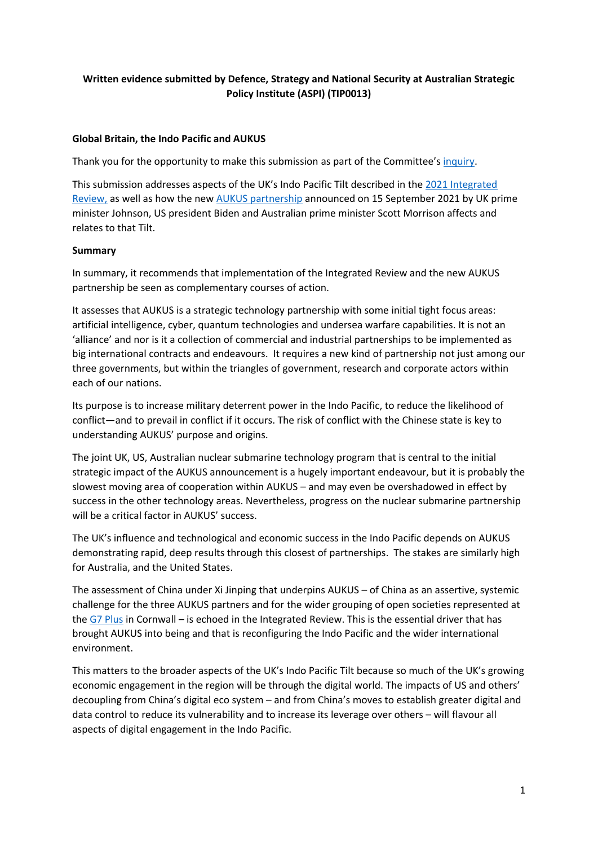# **Written evidence submitted by Defence, Strategy and National Security at Australian Strategic Policy Institute (ASPI) (TIP0013)**

# **Global Britain, the Indo Pacific and AUKUS**

Thank you for the opportunity to make this submission as part of the Committee's [inquiry.](https://committees.parliament.uk/call-for-evidence/556/)

This submission addresses aspects of the UK's Indo Pacific Tilt described in the [2021](https://www.gov.uk/government/collections/the-integrated-review-2021) [Integrated](https://www.gov.uk/government/collections/the-integrated-review-2021) [Review,](https://www.gov.uk/government/collections/the-integrated-review-2021) as well as how the new [AUKUS](https://www.whitehouse.gov/briefing-room/speeches-remarks/2021/09/15/remarks-by-president-biden-prime-minister-morrison-of-australia-and-prime-minister-johnson-of-the-united-kingdom-announcing-the-creation-of-aukus/) [partnership](https://www.whitehouse.gov/briefing-room/speeches-remarks/2021/09/15/remarks-by-president-biden-prime-minister-morrison-of-australia-and-prime-minister-johnson-of-the-united-kingdom-announcing-the-creation-of-aukus/) announced on 15 September 2021 by UK prime minister Johnson, US president Biden and Australian prime minister Scott Morrison affects and relates to that Tilt.

# **Summary**

In summary, it recommends that implementation of the Integrated Review and the new AUKUS partnership be seen as complementary courses of action.

It assesses that AUKUS is a strategic technology partnership with some initial tight focus areas: artificial intelligence, cyber, quantum technologies and undersea warfare capabilities. It is not an 'alliance' and nor is it a collection of commercial and industrial partnerships to be implemented as big international contracts and endeavours. It requires a new kind of partnership not just among our three governments, but within the triangles of government, research and corporate actors within each of our nations.

Its purpose is to increase military deterrent power in the Indo Pacific, to reduce the likelihood of conflict—and to prevail in conflict if it occurs. The risk of conflict with the Chinese state is key to understanding AUKUS' purpose and origins.

The joint UK, US, Australian nuclear submarine technology program that is central to the initial strategic impact of the AUKUS announcement is a hugely important endeavour, but it is probably the slowest moving area of cooperation within AUKUS – and may even be overshadowed in effect by success in the other technology areas. Nevertheless, progress on the nuclear submarine partnership will be a critical factor in AUKUS' success.

The UK's influence and technological and economic success in the Indo Pacific depends on AUKUS demonstrating rapid, deep results through this closest of partnerships. The stakes are similarly high for Australia, and the United States.

The assessment of China under Xi Jinping that underpins AUKUS – of China as an assertive, systemic challenge for the three AUKUS partners and for the wider grouping of open societies represented at the [G7](https://www.g7uk.org/) [Plus](https://www.g7uk.org/) in Cornwall – is echoed in the Integrated Review. This is the essential driver that has brought AUKUS into being and that is reconfiguring the Indo Pacific and the wider international environment.

This matters to the broader aspects of the UK's Indo Pacific Tilt because so much of the UK's growing economic engagement in the region will be through the digital world. The impacts of US and others' decoupling from China's digital eco system – and from China's moves to establish greater digital and data control to reduce its vulnerability and to increase its leverage over others – will flavour all aspects of digital engagement in the Indo Pacific.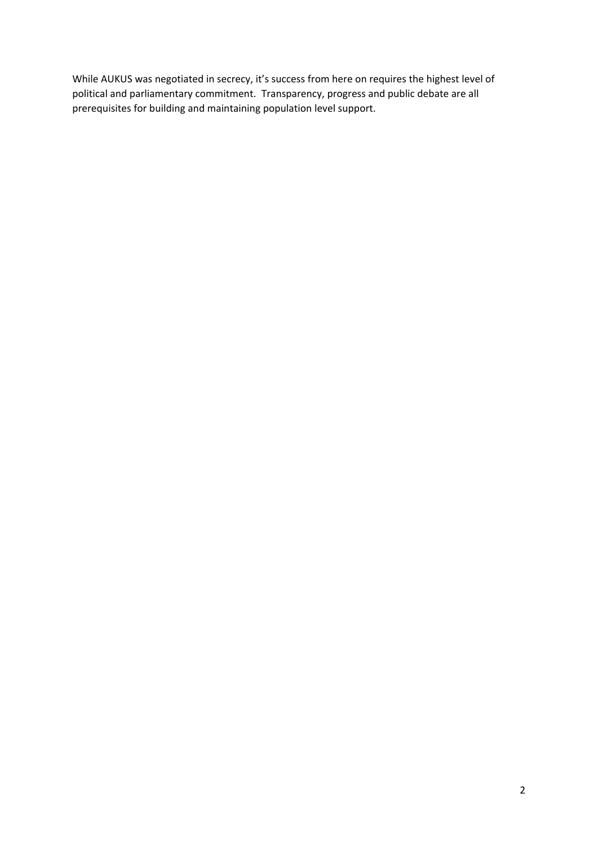While AUKUS was negotiated in secrecy, it's success from here on requires the highest level of political and parliamentary commitment. Transparency, progress and public debate are all prerequisites for building and maintaining population level support.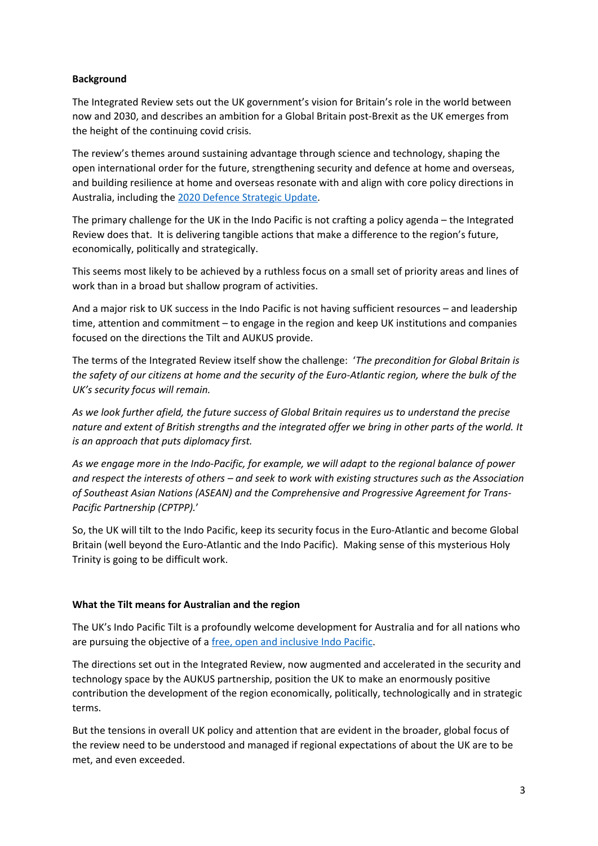# **Background**

The Integrated Review sets out the UK government's vision for Britain's role in the world between now and 2030, and describes an ambition for a Global Britain post-Brexit as the UK emerges from the height of the continuing covid crisis.

The review's themes around sustaining advantage through science and technology, shaping the open international order for the future, strengthening security and defence at home and overseas, and building resilience at home and overseas resonate with and align with core policy directions in Australia, including the [2020](https://www1.defence.gov.au/about/publications/2020-defence-strategic-update) [Defence](https://www1.defence.gov.au/about/publications/2020-defence-strategic-update) [Strategic](https://www1.defence.gov.au/about/publications/2020-defence-strategic-update) [Update](https://www1.defence.gov.au/about/publications/2020-defence-strategic-update).

The primary challenge for the UK in the Indo Pacific is not crafting a policy agenda – the Integrated Review does that. It is delivering tangible actions that make a difference to the region's future, economically, politically and strategically.

This seems most likely to be achieved by a ruthless focus on a small set of priority areas and lines of work than in a broad but shallow program of activities.

And a major risk to UK success in the Indo Pacific is not having sufficient resources – and leadership time, attention and commitment – to engage in the region and keep UK institutions and companies focused on the directions the Tilt and AUKUS provide.

The terms of the Integrated Review itself show the challenge: '*The precondition for Global Britain is* the safety of our citizens at home and the security of the Euro-Atlantic region, where the bulk of the *UK's security focus will remain.*

*As we look further afield, the future success of Global Britain requires us to understand the precise* nature and extent of British strengths and the integrated offer we bring in other parts of the world. It *is an approach that puts diplomacy first.*

*As we engage more in the Indo-Pacific, for example, we will adapt to the regional balance of power* and respect the interests of others – and seek to work with existing structures such as the Association *of Southeast Asian Nations (ASEAN) and the Comprehensive and Progressive Agreement for Trans-Pacific Partnership (CPTPP).*'

So, the UK will tilt to the Indo Pacific, keep its security focus in the Euro-Atlantic and become Global Britain (well beyond the Euro-Atlantic and the Indo Pacific). Making sense of this mysterious Holy Trinity is going to be difficult work.

## **What the Tilt means for Australian and the region**

The UK's Indo Pacific Tilt is a profoundly welcome development for Australia and for all nations who are pursuing the objective of a [free,](https://www.iiss.org/blogs/analysis/2018/08/modi-free-open-inclusive) [open](https://www.iiss.org/blogs/analysis/2018/08/modi-free-open-inclusive) [and](https://www.iiss.org/blogs/analysis/2018/08/modi-free-open-inclusive) [inclusive](https://www.iiss.org/blogs/analysis/2018/08/modi-free-open-inclusive) [Indo](https://www.iiss.org/blogs/analysis/2018/08/modi-free-open-inclusive) [Pacific](https://www.iiss.org/blogs/analysis/2018/08/modi-free-open-inclusive).

The directions set out in the Integrated Review, now augmented and accelerated in the security and technology space by the AUKUS partnership, position the UK to make an enormously positive contribution the development of the region economically, politically, technologically and in strategic terms.

But the tensions in overall UK policy and attention that are evident in the broader, global focus of the review need to be understood and managed if regional expectations of about the UK are to be met, and even exceeded.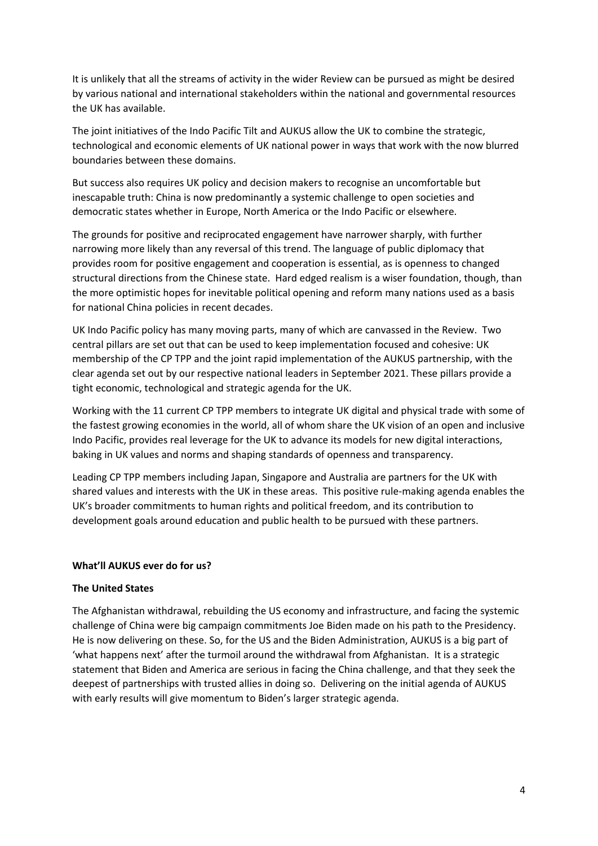It is unlikely that all the streams of activity in the wider Review can be pursued as might be desired by various national and international stakeholders within the national and governmental resources the UK has available.

The joint initiatives of the Indo Pacific Tilt and AUKUS allow the UK to combine the strategic, technological and economic elements of UK national power in ways that work with the now blurred boundaries between these domains.

But success also requires UK policy and decision makers to recognise an uncomfortable but inescapable truth: China is now predominantly a systemic challenge to open societies and democratic states whether in Europe, North America or the Indo Pacific or elsewhere.

The grounds for positive and reciprocated engagement have narrower sharply, with further narrowing more likely than any reversal of this trend. The language of public diplomacy that provides room for positive engagement and cooperation is essential, as is openness to changed structural directions from the Chinese state. Hard edged realism is a wiser foundation, though, than the more optimistic hopes for inevitable political opening and reform many nations used as a basis for national China policies in recent decades.

UK Indo Pacific policy has many moving parts, many of which are canvassed in the Review. Two central pillars are set out that can be used to keep implementation focused and cohesive: UK membership of the CP TPP and the joint rapid implementation of the AUKUS partnership, with the clear agenda set out by our respective national leaders in September 2021. These pillars provide a tight economic, technological and strategic agenda for the UK.

Working with the 11 current CP TPP members to integrate UK digital and physical trade with some of the fastest growing economies in the world, all of whom share the UK vision of an open and inclusive Indo Pacific, provides real leverage for the UK to advance its models for new digital interactions, baking in UK values and norms and shaping standards of openness and transparency.

Leading CP TPP members including Japan, Singapore and Australia are partners for the UK with shared values and interests with the UK in these areas. This positive rule-making agenda enables the UK's broader commitments to human rights and political freedom, and its contribution to development goals around education and public health to be pursued with these partners.

## **What'll AUKUS ever do for us?**

## **The United States**

The Afghanistan withdrawal, rebuilding the US economy and infrastructure, and facing the systemic challenge of China were big campaign commitments Joe Biden made on his path to the Presidency. He is now delivering on these. So, for the US and the Biden Administration, AUKUS is a big part of 'what happens next' after the turmoil around the withdrawal from Afghanistan. It is a strategic statement that Biden and America are serious in facing the China challenge, and that they seek the deepest of partnerships with trusted allies in doing so. Delivering on the initial agenda of AUKUS with early results will give momentum to Biden's larger strategic agenda.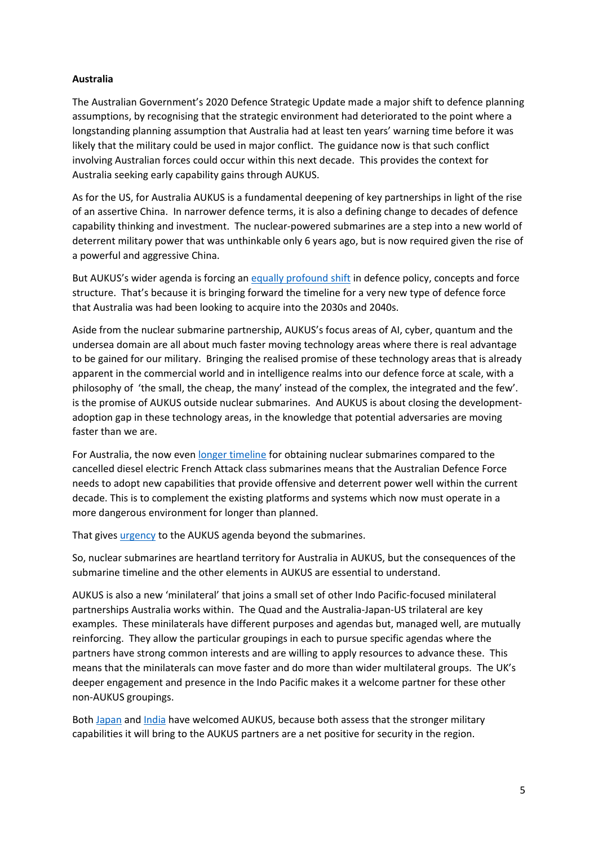# **Australia**

The Australian Government's 2020 Defence Strategic Update made a major shift to defence planning assumptions, by recognising that the strategic environment had deteriorated to the point where a longstanding planning assumption that Australia had at least ten years' warning time before it was likely that the military could be used in major conflict. The guidance now is that such conflict involving Australian forces could occur within this next decade. This provides the context for Australia seeking early capability gains through AUKUS.

As for the US, for Australia AUKUS is a fundamental deepening of key partnerships in light of the rise of an assertive China. In narrower defence terms, it is also a defining change to decades of defence capability thinking and investment. The nuclear-powered submarines are a step into a new world of deterrent military power that was unthinkable only 6 years ago, but is now required given the rise of a powerful and aggressive China.

But AUKUS's wider agenda is forcing an [equally](https://www.aspistrategist.org.au/aukus-kicks-australias-military-transformation-into-gear/) [profound](https://www.aspistrategist.org.au/aukus-kicks-australias-military-transformation-into-gear/) [shift](https://www.aspistrategist.org.au/aukus-kicks-australias-military-transformation-into-gear/) in defence policy, concepts and force structure. That's because it is bringing forward the timeline for a very new type of defence force that Australia was had been looking to acquire into the 2030s and 2040s.

Aside from the nuclear submarine partnership, AUKUS's focus areas of AI, cyber, quantum and the undersea domain are all about much faster moving technology areas where there is real advantage to be gained for our military. Bringing the realised promise of these technology areas that is already apparent in the commercial world and in intelligence realms into our defence force at scale, with a philosophy of 'the small, the cheap, the many' instead of the complex, the integrated and the few'. is the promise of AUKUS outside nuclear submarines. And AUKUS is about closing the developmentadoption gap in these technology areas, in the knowledge that potential adversaries are moving faster than we are.

For Australia, the now even [longer](https://www.aspistrategist.org.au/nuclear-submarines-increase-australias-need-for-speed/) [timeline](https://www.aspistrategist.org.au/nuclear-submarines-increase-australias-need-for-speed/) for obtaining nuclear submarines compared to the cancelled diesel electric French Attack class submarines means that the Australian Defence Force needs to adopt new capabilities that provide offensive and deterrent power well within the current decade. This is to complement the existing platforms and systems which now must operate in a more dangerous environment for longer than planned.

That gives [urgency](https://www.aspistrategist.org.au/aukus-kicks-australias-military-transformation-into-gear/) to the AUKUS agenda beyond the submarines.

So, nuclear submarines are heartland territory for Australia in AUKUS, but the consequences of the submarine timeline and the other elements in AUKUS are essential to understand.

AUKUS is also a new 'minilateral' that joins a small set of other Indo Pacific-focused minilateral partnerships Australia works within. The Quad and the Australia-Japan-US trilateral are key examples. These minilaterals have different purposes and agendas but, managed well, are mutually reinforcing. They allow the particular groupings in each to pursue specific agendas where the partners have strong common interests and are willing to apply resources to advance these. This means that the minilaterals can move faster and do more than wider multilateral groups. The UK's deeper engagement and presence in the Indo Pacific makes it a welcome partner for these other non-AUKUS groupings.

Both [Japan](https://asia.nikkei.com/Politics/International-relations/Japan-PM-Kishida-kicks-off-diplomacy-with-Quad-phone-calls) and [India](https://foreignpolicy.com/2021/09/16/aukus-india-australia-uk-us-submarines/) have welcomed AUKUS, because both assess that the stronger military capabilities it will bring to the AUKUS partners are a net positive for security in the region.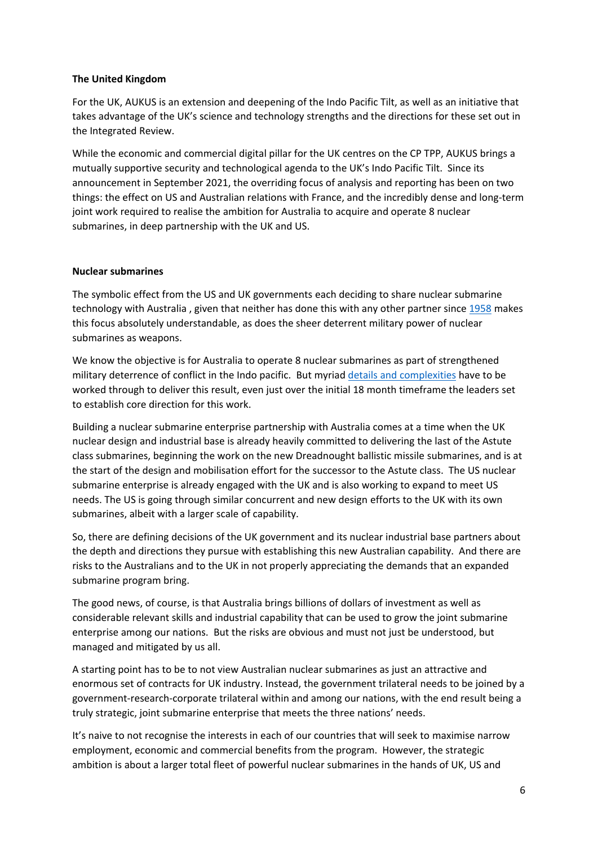# **The United Kingdom**

For the UK, AUKUS is an extension and deepening of the Indo Pacific Tilt, as well as an initiative that takes advantage of the UK's science and technology strengths and the directions for these set out in the Integrated Review.

While the economic and commercial digital pillar for the UK centres on the CP TPP, AUKUS brings a mutually supportive security and technological agenda to the UK's Indo Pacific Tilt. Since its announcement in September 2021, the overriding focus of analysis and reporting has been on two things: the effect on US and Australian relations with France, and the incredibly dense and long-term joint work required to realise the ambition for Australia to acquire and operate 8 nuclear submarines, in deep partnership with the UK and US.

# **Nuclear submarines**

The symbolic effect from the US and UK governments each deciding to share nuclear submarine technology with Australia, given that neither has done this with any other partner since [1958](https://www.cvce.eu/obj/us_uk_mutual_defence_agreement_washington_3_july_1958-en-a1ee4c1f-2166-48f3-a886-2711bd647111.html) makes this focus absolutely understandable, as does the sheer deterrent military power of nuclear submarines as weapons.

We know the objective is for Australia to operate 8 nuclear submarines as part of strengthened military deterrence of conflict in the Indo pacific. But myriad [details](https://www.heritage.org/defense/report/aukus-us-navy-nuclear-powered-forward-presence-key-australian-nuclear-submarine-and) [and](https://www.heritage.org/defense/report/aukus-us-navy-nuclear-powered-forward-presence-key-australian-nuclear-submarine-and) [complexities](https://www.heritage.org/defense/report/aukus-us-navy-nuclear-powered-forward-presence-key-australian-nuclear-submarine-and) have to be worked through to deliver this result, even just over the initial 18 month timeframe the leaders set to establish core direction for this work.

Building a nuclear submarine enterprise partnership with Australia comes at a time when the UK nuclear design and industrial base is already heavily committed to delivering the last of the Astute class submarines, beginning the work on the new Dreadnought ballistic missile submarines, and is at the start of the design and mobilisation effort for the successor to the Astute class. The US nuclear submarine enterprise is already engaged with the UK and is also working to expand to meet US needs. The US is going through similar concurrent and new design efforts to the UK with its own submarines, albeit with a larger scale of capability.

So, there are defining decisions of the UK government and its nuclear industrial base partners about the depth and directions they pursue with establishing this new Australian capability. And there are risks to the Australians and to the UK in not properly appreciating the demands that an expanded submarine program bring.

The good news, of course, is that Australia brings billions of dollars of investment as well as considerable relevant skills and industrial capability that can be used to grow the joint submarine enterprise among our nations. But the risks are obvious and must not just be understood, but managed and mitigated by us all.

A starting point has to be to not view Australian nuclear submarines as just an attractive and enormous set of contracts for UK industry. Instead, the government trilateral needs to be joined by a government-research-corporate trilateral within and among our nations, with the end result being a truly strategic, joint submarine enterprise that meets the three nations' needs.

It's naive to not recognise the interests in each of our countries that will seek to maximise narrow employment, economic and commercial benefits from the program. However, the strategic ambition is about a larger total fleet of powerful nuclear submarines in the hands of UK, US and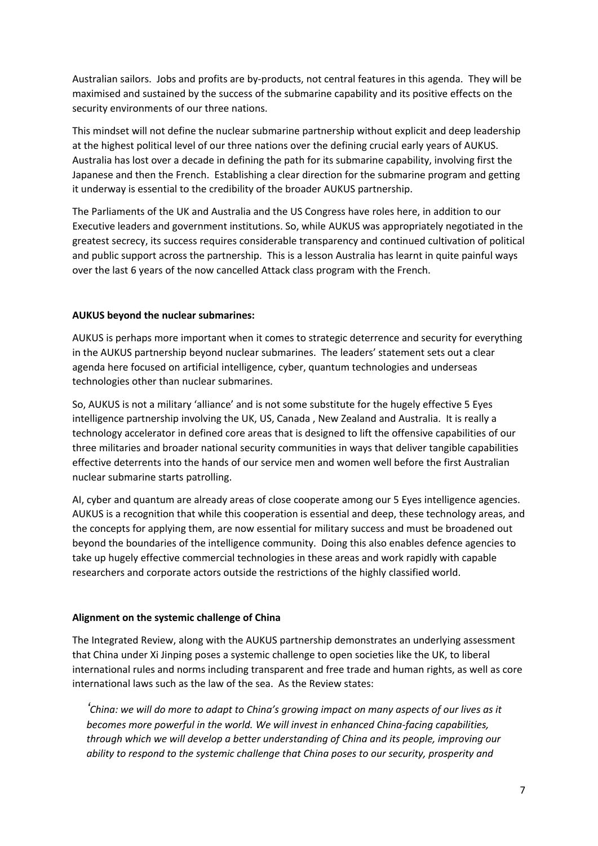Australian sailors. Jobs and profits are by-products, not central features in this agenda. They will be maximised and sustained by the success of the submarine capability and its positive effects on the security environments of our three nations.

This mindset will not define the nuclear submarine partnership without explicit and deep leadership at the highest political level of our three nations over the defining crucial early years of AUKUS. Australia has lost over a decade in defining the path for its submarine capability, involving first the Japanese and then the French. Establishing a clear direction for the submarine program and getting it underway is essential to the credibility of the broader AUKUS partnership.

The Parliaments of the UK and Australia and the US Congress have roles here, in addition to our Executive leaders and government institutions. So, while AUKUS was appropriately negotiated in the greatest secrecy, its success requires considerable transparency and continued cultivation of political and public support across the partnership. This is a lesson Australia has learnt in quite painful ways over the last 6 years of the now cancelled Attack class program with the French.

## **AUKUS beyond the nuclear submarines:**

AUKUS is perhaps more important when it comes to strategic deterrence and security for everything in the AUKUS partnership beyond nuclear submarines. The leaders' statement sets out a clear agenda here focused on artificial intelligence, cyber, quantum technologies and underseas technologies other than nuclear submarines.

So, AUKUS is not a military 'alliance' and is not some substitute for the hugely effective 5 Eyes intelligence partnership involving the UK, US, Canada , New Zealand and Australia. It is really a technology accelerator in defined core areas that is designed to lift the offensive capabilities of our three militaries and broader national security communities in ways that deliver tangible capabilities effective deterrents into the hands of our service men and women well before the first Australian nuclear submarine starts patrolling.

AI, cyber and quantum are already areas of close cooperate among our 5 Eyes intelligence agencies. AUKUS is a recognition that while this cooperation is essential and deep, these technology areas, and the concepts for applying them, are now essential for military success and must be broadened out beyond the boundaries of the intelligence community. Doing this also enables defence agencies to take up hugely effective commercial technologies in these areas and work rapidly with capable researchers and corporate actors outside the restrictions of the highly classified world.

## **Alignment on the systemic challenge of China**

The Integrated Review, along with the AUKUS partnership demonstrates an underlying assessment that China under Xi Jinping poses a systemic challenge to open societies like the UK, to liberal international rules and norms including transparent and free trade and human rights, as well as core international laws such as the law of the sea. As the Review states:

'China: we will do more to adapt to China's growing impact on many aspects of our lives as it *becomes more powerful in the world. We will invest in enhanced China-facing capabilities, through which we will develop a better understanding of China and its people, improving our ability to respond to the systemic challenge that China poses to our security, prosperity and*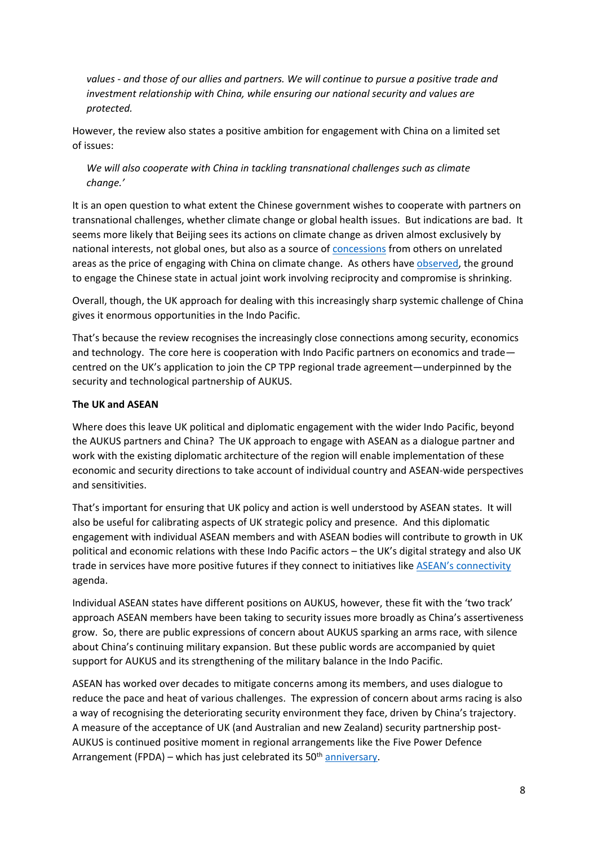*values - and those of our allies and partners. We will continue to pursue a positive trade and investment relationship with China, while ensuring our national security and values are protected.*

However, the review also states a positive ambition for engagement with China on a limited set of issues:

*We will also cooperate with China in tackling transnational challenges such as climate change.'*

It is an open question to what extent the Chinese government wishes to cooperate with partners on transnational challenges, whether climate change or global health issues. But indications are bad. It seems more likely that Beijing sees its actions on climate change as driven almost exclusively by national interests, not global ones, but also as a source of [concessions](https://www.washingtonpost.com/world/asia_pacific/climate-change-kerry-china/2021/09/02/65291fde-0b93-11ec-a7c8-61bb7b3bf628_story.html) from others on unrelated areas as the price of engaging with China on climate change. As others have [observed,](https://www.sipri.org/publications/2021/sipri-policy-papers/china-eu-connectivity-era-geopolitical-competition) the ground to engage the Chinese state in actual joint work involving reciprocity and compromise is shrinking.

Overall, though, the UK approach for dealing with this increasingly sharp systemic challenge of China gives it enormous opportunities in the Indo Pacific.

That's because the review recognises the increasingly close connections among security, economics and technology. The core here is cooperation with Indo Pacific partners on economics and trade centred on the UK's application to join the CP TPP regional trade agreement—underpinned by the security and technological partnership of AUKUS.

# **The UK and ASEAN**

Where does this leave UK political and diplomatic engagement with the wider Indo Pacific, beyond the AUKUS partners and China? The UK approach to engage with ASEAN as a dialogue partner and work with the existing diplomatic architecture of the region will enable implementation of these economic and security directions to take account of individual country and ASEAN-wide perspectives and sensitivities.

That's important for ensuring that UK policy and action is well understood by ASEAN states. It will also be useful for calibrating aspects of UK strategic policy and presence. And this diplomatic engagement with individual ASEAN members and with ASEAN bodies will contribute to growth in UK political and economic relations with these Indo Pacific actors – the UK's digital strategy and also UK trade in services have more positive futures if they connect to initiatives like [ASEAN's](https://asean.org/wp-content/uploads/2018/01/47.-December-2017-MPAC2025-2nd-Reprint-.pdf) [connectivity](https://asean.org/wp-content/uploads/2018/01/47.-December-2017-MPAC2025-2nd-Reprint-.pdf) agenda.

Individual ASEAN states have different positions on AUKUS, however, these fit with the 'two track' approach ASEAN members have been taking to security issues more broadly as China's assertiveness grow. So, there are public expressions of concern about AUKUS sparking an arms race, with silence about China's continuing military expansion. But these public words are accompanied by quiet support for AUKUS and its strengthening of the military balance in the Indo Pacific.

ASEAN has worked over decades to mitigate concerns among its members, and uses dialogue to reduce the pace and heat of various challenges. The expression of concern about arms racing is also a way of recognising the deteriorating security environment they face, driven by China's trajectory. A measure of the acceptance of UK (and Australian and new Zealand) security partnership post-AUKUS is continued positive moment in regional arrangements like the Five Power Defence Arrangement (FPDA) – which has just celebrated its 50<sup>th</sup> [anniversary.](https://www.channelnewsasia.com/singapore/fpda-nations-mark-50-years-defence-pact-aerial-naval-display-marina-south-2251426)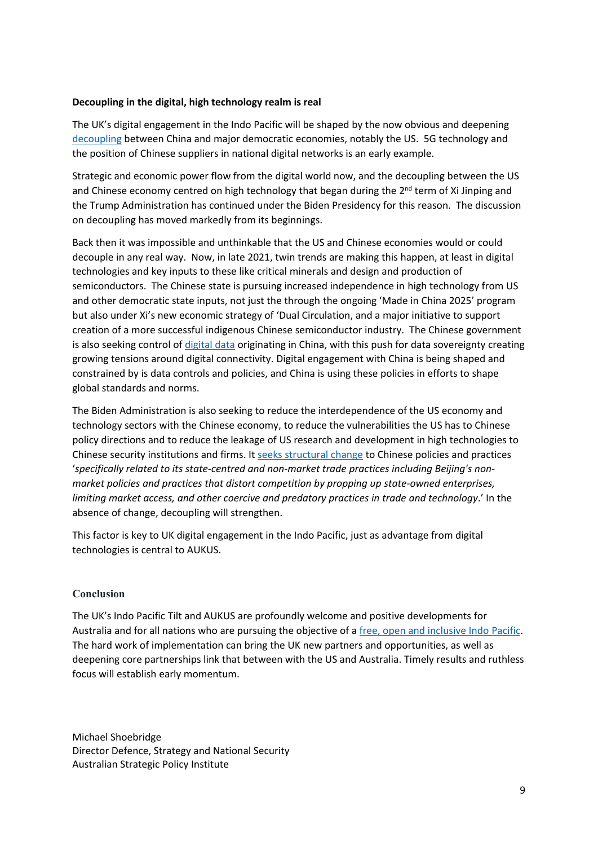# **Decoupling in the digital, high technology realm is real**

The UK's digital engagement in the Indo Pacific will be shaped by the now obvious and deepening [decoupling](https://www.uschamber.com/sites/default/files/024001_us_china_decoupling_report_fin.pdf) between China and major democratic economies, notably the US. 5G technology and the position of Chinese suppliers in national digital networks is an early example.

Strategic and economic power flow from the digital world now, and the decoupling between the US and Chinese economy centred on high technology that began during the 2<sup>nd</sup> term of Xi Jinping and the Trump Administration has continued under the Biden Presidency for this reason. The discussion on decoupling has moved markedly from its beginnings.

Back then it was impossible and unthinkable that the US and Chinese economies would or could decouple in any real way. Now, in late 2021, twin trends are making this happen, at least in digital technologies and key inputs to these like critical minerals and design and production of semiconductors. The Chinese state is pursuing increased independence in high technology from US and other democratic state inputs, not just the through the ongoing 'Made in China 2025' program but also under Xi's new economic strategy of 'Dual Circulation, and a major initiative to support creation of a more successful indigenous Chinese semiconductor industry. The Chinese government is also seeking control of [digital](https://www.reuters.com/technology/beyond-security-crackdown-beijing-charts-state-controlled-data-market-2021-07-20/) [data](https://www.reuters.com/technology/beyond-security-crackdown-beijing-charts-state-controlled-data-market-2021-07-20/) originating in China, with this push for data sovereignty creating growing tensions around digital connectivity. Digital engagement with China is being shaped and constrained by is data controls and policies, and China is using these policies in efforts to shape global standards and norms.

The Biden Administration is also seeking to reduce the interdependence of the US economy and technology sectors with the Chinese economy, to reduce the vulnerabilities the US has to Chinese policy directions and to reduce the leakage of US research and development in high technologies to Chinese security institutions and firms. It [seeks](https://ustr.gov/about-us/policy-offices/press-office/press-releases/2021/october/fact-sheet-biden-harris-administrations-new-approach-us-china-trade-relationship) [structural](https://ustr.gov/about-us/policy-offices/press-office/press-releases/2021/october/fact-sheet-biden-harris-administrations-new-approach-us-china-trade-relationship) [change](https://ustr.gov/about-us/policy-offices/press-office/press-releases/2021/october/fact-sheet-biden-harris-administrations-new-approach-us-china-trade-relationship) to Chinese policies and practices '*specifically related to its state-centred and non-market trade practices including Beijing's nonmarket policies and practices that distort competition by propping up state-owned enterprises, limiting market access, and other coercive and predatory practices in trade and technology*.' In the absence of change, decoupling will strengthen.

This factor is key to UK digital engagement in the Indo Pacific, just as advantage from digital technologies is central to AUKUS.

## **Conclusion**

The UK's Indo Pacific Tilt and AUKUS are profoundly welcome and positive developments for Australia and for all nations who are pursuing the objective of a [free,](https://www.iiss.org/blogs/analysis/2018/08/modi-free-open-inclusive) [open](https://www.iiss.org/blogs/analysis/2018/08/modi-free-open-inclusive) [and](https://www.iiss.org/blogs/analysis/2018/08/modi-free-open-inclusive) [inclusive](https://www.iiss.org/blogs/analysis/2018/08/modi-free-open-inclusive) [Indo](https://www.iiss.org/blogs/analysis/2018/08/modi-free-open-inclusive) [Pacific](https://www.iiss.org/blogs/analysis/2018/08/modi-free-open-inclusive). The hard work of implementation can bring the UK new partners and opportunities, as well as deepening core partnerships link that between with the US and Australia. Timely results and ruthless focus will establish early momentum.

Michael Shoebridge Director Defence, Strategy and National Security Australian Strategic Policy Institute